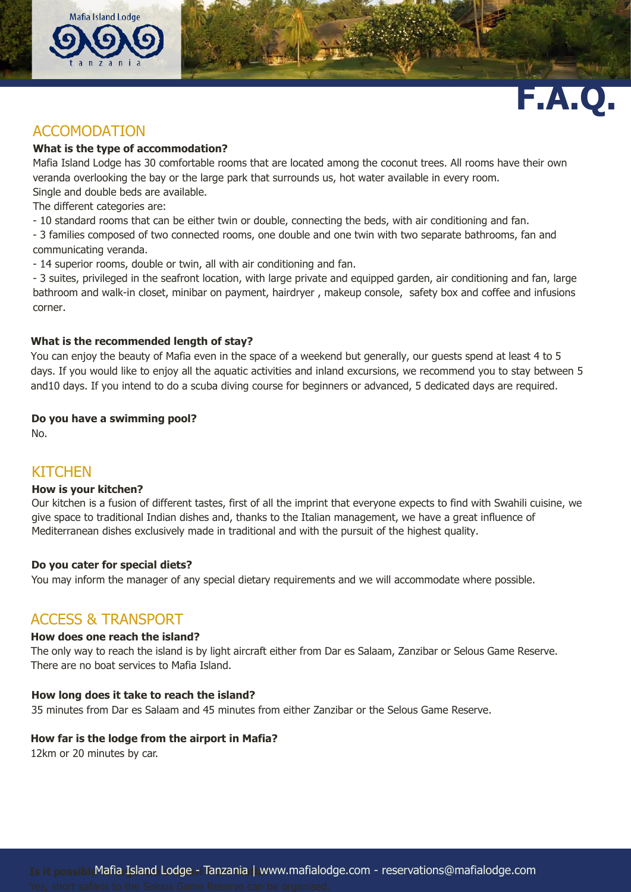

# **F.A.Q.**

# ACCOMODATION

## **What is the type of accommodation?**

Mafia Island Lodge has 30 comfortable rooms that are located among the coconut trees. All rooms have their own veranda overlooking the bay or the large park that surrounds us, hot water available in every room.

Single and double beds are available.

The different categories are:

- 10 standard rooms that can be either twin or double, connecting the beds, with air conditioning and fan.

- 3 families composed of two connected rooms, one double and one twin with two separate bathrooms, fan and communicating veranda.

- 14 superior rooms, double or twin, all with air conditioning and fan.

- 3 suites, privileged in the seafront location, with large private and equipped garden, air conditioning and fan, large bathroom and walk-in closet, minibar on payment, hairdryer , makeup console, safety box and coffee and infusions corner.

## **What is the recommended length of stay?**

You can enjoy the beauty of Mafia even in the space of a weekend but generally, our guests spend at least 4 to 5 days. If you would like to enjoy all the aquatic activities and inland excursions, we recommend you to stay between 5 and10 days. If you intend to do a scuba diving course for beginners or advanced, 5 dedicated days are required.

## **Do you have a swimming pool?**

No.

## **KITCHEN**

## **How is your kitchen?**

Our kitchen is a fusion of different tastes, first of all the imprint that everyone expects to find with Swahili cuisine, we give space to traditional Indian dishes and, thanks to the Italian management, we have a great influence of Mediterranean dishes exclusively made in traditional and with the pursuit of the highest quality.

## **Do you cater for special diets?**

You may inform the manager of any special dietary requirements and we will accommodate where possible.

## ACCESS & TRANSPORT

## **How does one reach the island?**

The only way to reach the island is by light aircraft either from Dar es Salaam, Zanzibar or Selous Game Reserve. There are no boat services to Mafia Island.

## **How long does it take to reach the island?**

35 minutes from Dar es Salaam and 45 minutes from either Zanzibar or the Selous Game Reserve.

## **How far is the lodge from the airport in Mafia?**

12km or 20 minutes by car.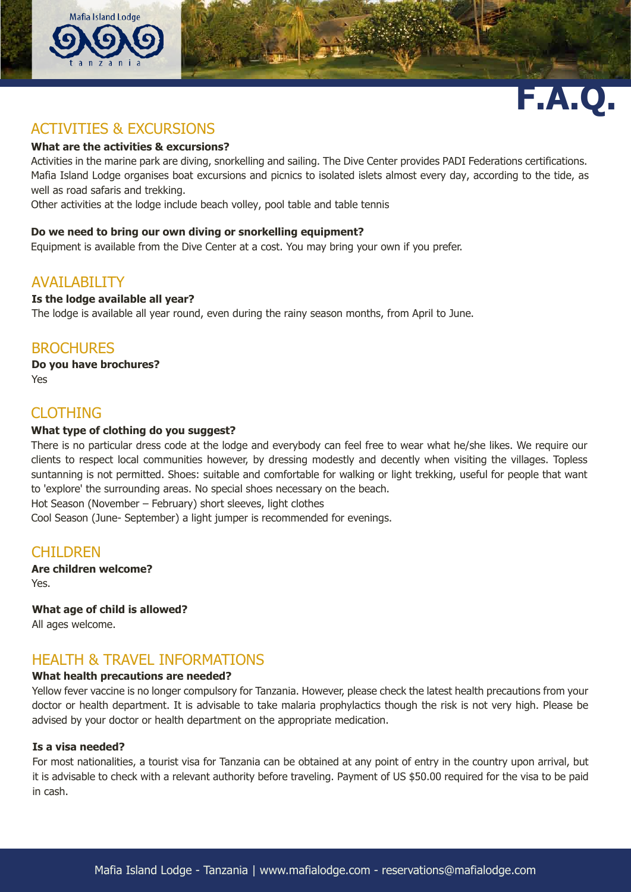



# ACTIVITIES & EXCURSIONS

## **What are the activities & excursions?**

Activities in the marine park are diving, snorkelling and sailing. The Dive Center provides PADI Federations certifications. Mafia Island Lodge organises boat excursions and picnics to isolated islets almost every day, according to the tide, as well as road safaris and trekking.

Other activities at the lodge include beach volley, pool table and table tennis

## **Do we need to bring our own diving or snorkelling equipment?**

Equipment is available from the Dive Center at a cost. You may bring your own if you prefer.

## AVAILABILITY

## **Is the lodge available all year?**

The lodge is available all year round, even during the rainy season months, from April to June.

## **BROCHURES**

**Do you have brochures?** Yes

## CLOTHING

## **What type of clothing do you suggest?**

There is no particular dress code at the lodge and everybody can feel free to wear what he/she likes. We require our clients to respect local communities however, by dressing modestly and decently when visiting the villages. Topless suntanning is not permitted. Shoes: suitable and comfortable for walking or light trekking, useful for people that want to 'explore' the surrounding areas. No special shoes necessary on the beach.

Hot Season (November – February) short sleeves, light clothes

Cool Season (June- September) a light jumper is recommended for evenings.

# **CHILDREN**

**Are children welcome?** Yes.

**What age of child is allowed?**

All ages welcome.

# HEALTH & TRAVEL INFORMATIONS

## **What health precautions are needed?**

Yellow fever vaccine is no longer compulsory for Tanzania. However, please check the latest health precautions from your doctor or health department. It is advisable to take malaria prophylactics though the risk is not very high. Please be advised by your doctor or health department on the appropriate medication.

## **Is a visa needed?**

For most nationalities, a tourist visa for Tanzania can be obtained at any point of entry in the country upon arrival, but it is advisable to check with a relevant authority before traveling. Payment of US \$50.00 required for the visa to be paid in cash.